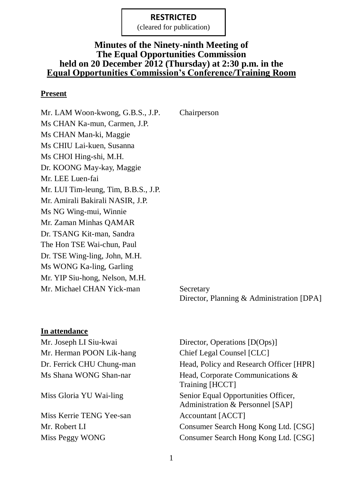(cleared for publication)

### **Minutes of the Ninety-ninth Meeting of The Equal Opportunities Commission held on 20 December 2012 (Thursday) at 2:30 p.m. in the Equal Opportunities Commission's Conference/Training Room**

#### **Present**

Mr. LAM Woon-kwong, G.B.S., J.P. Chairperson Ms CHAN Ka-mun, Carmen, J.P. Ms CHAN Man-ki, Maggie Ms CHIU Lai-kuen, Susanna Ms CHOI Hing-shi, M.H. Dr. KOONG May-kay, Maggie Mr. LEE Luen-fai Mr. LUI Tim-leung, Tim, B.B.S., J.P. Mr. Amirali Bakirali NASIR, J.P. Ms NG Wing-mui, Winnie Mr. Zaman Minhas QAMAR Dr. TSANG Kit-man, Sandra The Hon TSE Wai-chun, Paul Dr. TSE Wing-ling, John, M.H. Ms WONG Ka-ling, Garling Mr. YIP Siu-hong, Nelson, M.H. Mr. Michael CHAN Yick-man Secretary

Director, Planning & Administration [DPA]

#### **In attendance**

Mr. Joseph LI Siu-kwai Director, Operations [D(Ops)] Mr. Herman POON Lik-hang Chief Legal Counsel [CLC]

Miss Kerrie TENG Yee-san Accountant [ACCT]

Dr. Ferrick CHU Chung-man Head, Policy and Research Officer [HPR] Ms Shana WONG Shan-nar Head, Corporate Communications & Training [HCCT] Miss Gloria YU Wai-ling Senior Equal Opportunities Officer, Administration & Personnel [SAP] Mr. Robert LI Consumer Search Hong Kong Ltd. [CSG] Miss Peggy WONG Consumer Search Hong Kong Ltd. [CSG]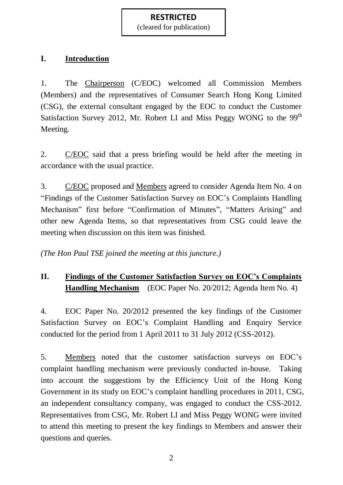(cleared for publication)

# **I. Introduction**

1. The Chairperson (C/EOC) welcomed all Commission Members (Members) and the representatives of Consumer Search Hong Kong Limited (CSG), the external consultant engaged by the EOC to conduct the Customer Satisfaction Survey 2012, Mr. Robert LI and Miss Peggy WONG to the 99<sup>th</sup> Meeting.

2. C/EOC said that a press briefing would be held after the meeting in accordance with the usual practice.

3. C/EOC proposed and Members agreed to consider Agenda Item No. 4 on "Findings of the Customer Satisfaction Survey on EOC's Complaints Handling Mechanism" first before "Confirmation of Minutes", "Matters Arising" and other new Agenda Items, so that representatives from CSG could leave the meeting when discussion on this item was finished.

*(The Hon Paul TSE joined the meeting at this juncture.)*

# **II. Findings of the Customer Satisfaction Survey on EOC's Complaints Handling Mechanism** (EOC Paper No. 20/2012; Agenda Item No. 4)

4. EOC Paper No. 20/2012 presented the key findings of the Customer Satisfaction Survey on EOC's Complaint Handling and Enquiry Service conducted for the period from 1 April 2011 to 31 July 2012 (CSS-2012).

5. Members noted that the customer satisfaction surveys on EOC's complaint handling mechanism were previously conducted in-house. Taking into account the suggestions by the Efficiency Unit of the Hong Kong Government in its study on EOC's complaint handling procedures in 2011, CSG, an independent consultancy company, was engaged to conduct the CSS-2012. Representatives from CSG, Mr. Robert LI and Miss Peggy WONG were invited to attend this meeting to present the key findings to Members and answer their questions and queries.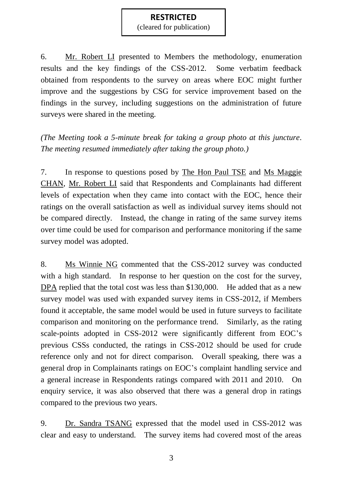(cleared for publication)

6. Mr. Robert LI presented to Members the methodology, enumeration results and the key findings of the CSS-2012. Some verbatim feedback obtained from respondents to the survey on areas where EOC might further improve and the suggestions by CSG for service improvement based on the findings in the survey, including suggestions on the administration of future surveys were shared in the meeting.

*(The Meeting took a 5-minute break for taking a group photo at this juncture. The meeting resumed immediately after taking the group photo.)*

7. In response to questions posed by The Hon Paul TSE and Ms Maggie CHAN, Mr. Robert LI said that Respondents and Complainants had different levels of expectation when they came into contact with the EOC, hence their ratings on the overall satisfaction as well as individual survey items should not be compared directly. Instead, the change in rating of the same survey items over time could be used for comparison and performance monitoring if the same survey model was adopted.

8. Ms Winnie NG commented that the CSS-2012 survey was conducted with a high standard. In response to her question on the cost for the survey, DPA replied that the total cost was less than \$130,000. He added that as a new survey model was used with expanded survey items in CSS-2012, if Members found it acceptable, the same model would be used in future surveys to facilitate comparison and monitoring on the performance trend. Similarly, as the rating scale-points adopted in CSS-2012 were significantly different from EOC's previous CSSs conducted, the ratings in CSS-2012 should be used for crude reference only and not for direct comparison. Overall speaking, there was a general drop in Complainants ratings on EOC's complaint handling service and a general increase in Respondents ratings compared with 2011 and 2010. On enquiry service, it was also observed that there was a general drop in ratings compared to the previous two years.

9. Dr. Sandra TSANG expressed that the model used in CSS-2012 was clear and easy to understand. The survey items had covered most of the areas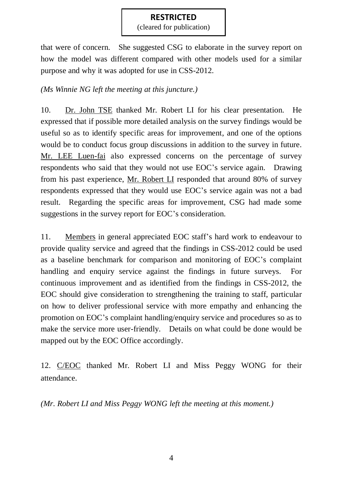(cleared for publication)

that were of concern. She suggested CSG to elaborate in the survey report on how the model was different compared with other models used for a similar purpose and why it was adopted for use in CSS-2012.

### *(Ms Winnie NG left the meeting at this juncture.)*

10. Dr. John TSE thanked Mr. Robert LI for his clear presentation. He expressed that if possible more detailed analysis on the survey findings would be useful so as to identify specific areas for improvement, and one of the options would be to conduct focus group discussions in addition to the survey in future. Mr. LEE Luen-fai also expressed concerns on the percentage of survey respondents who said that they would not use EOC's service again. Drawing from his past experience, Mr. Robert LI responded that around 80% of survey respondents expressed that they would use EOC's service again was not a bad result. Regarding the specific areas for improvement, CSG had made some suggestions in the survey report for EOC's consideration.

11. Members in general appreciated EOC staff's hard work to endeavour to provide quality service and agreed that the findings in CSS-2012 could be used as a baseline benchmark for comparison and monitoring of EOC's complaint handling and enquiry service against the findings in future surveys. For continuous improvement and as identified from the findings in CSS-2012, the EOC should give consideration to strengthening the training to staff, particular on how to deliver professional service with more empathy and enhancing the promotion on EOC's complaint handling/enquiry service and procedures so as to make the service more user-friendly. Details on what could be done would be mapped out by the EOC Office accordingly.

12. C/EOC thanked Mr. Robert LI and Miss Peggy WONG for their attendance.

*(Mr. Robert LI and Miss Peggy WONG left the meeting at this moment.)*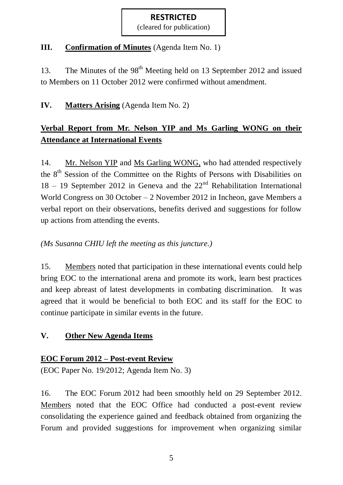(cleared for publication)

# **III. Confirmation of Minutes** (Agenda Item No. 1)

13. The Minutes of the 98<sup>th</sup> Meeting held on 13 September 2012 and issued to Members on 11 October 2012 were confirmed without amendment.

# **IV. Matters Arising** (Agenda Item No. 2)

# **Verbal Report from Mr. Nelson YIP and Ms Garling WONG on their Attendance at International Events**

14. Mr. Nelson YIP and Ms Garling WONG, who had attended respectively the 8<sup>th</sup> Session of the Committee on the Rights of Persons with Disabilities on  $18 - 19$  September 2012 in Geneva and the  $22<sup>nd</sup>$  Rehabilitation International World Congress on 30 October – 2 November 2012 in Incheon, gave Members a verbal report on their observations, benefits derived and suggestions for follow up actions from attending the events.

# *(Ms Susanna CHIU left the meeting as this juncture.)*

15. Members noted that participation in these international events could help bring EOC to the international arena and promote its work, learn best practices and keep abreast of latest developments in combating discrimination. It was agreed that it would be beneficial to both EOC and its staff for the EOC to continue participate in similar events in the future.

# **V. Other New Agenda Items**

### **EOC Forum 2012 – Post-event Review**

(EOC Paper No. 19/2012; Agenda Item No. 3)

16. The EOC Forum 2012 had been smoothly held on 29 September 2012. Members noted that the EOC Office had conducted a post-event review consolidating the experience gained and feedback obtained from organizing the Forum and provided suggestions for improvement when organizing similar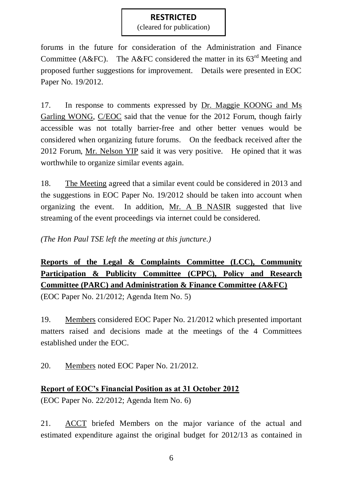(cleared for publication)

forums in the future for consideration of the Administration and Finance Committee (A&FC). The A&FC considered the matter in its  $63<sup>rd</sup>$  Meeting and proposed further suggestions for improvement. Details were presented in EOC Paper No. 19/2012.

17. In response to comments expressed by Dr. Maggie KOONG and Ms Garling WONG, C/EOC said that the venue for the 2012 Forum, though fairly accessible was not totally barrier-free and other better venues would be considered when organizing future forums. On the feedback received after the 2012 Forum, Mr. Nelson YIP said it was very positive. He opined that it was worthwhile to organize similar events again.

18. The Meeting agreed that a similar event could be considered in 2013 and the suggestions in EOC Paper No. 19/2012 should be taken into account when organizing the event. In addition, Mr. A B NASIR suggested that live streaming of the event proceedings via internet could be considered.

*(The Hon Paul TSE left the meeting at this juncture.)*

**Reports of the Legal & Complaints Committee (LCC), Community Participation & Publicity Committee (CPPC), Policy and Research Committee (PARC) and Administration & Finance Committee (A&FC)**

(EOC Paper No. 21/2012; Agenda Item No. 5)

19. Members considered EOC Paper No. 21/2012 which presented important matters raised and decisions made at the meetings of the 4 Committees established under the EOC.

20. Members noted EOC Paper No. 21/2012.

# **Report of EOC's Financial Position as at 31 October 2012**

(EOC Paper No. 22/2012; Agenda Item No. 6)

21. ACCT briefed Members on the major variance of the actual and estimated expenditure against the original budget for 2012/13 as contained in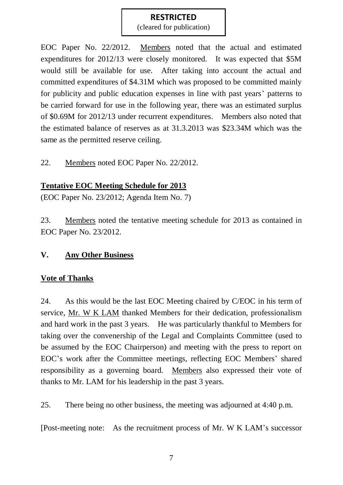(cleared for publication)

EOC Paper No. 22/2012. Members noted that the actual and estimated expenditures for 2012/13 were closely monitored. It was expected that \$5M would still be available for use. After taking into account the actual and committed expenditures of \$4.31M which was proposed to be committed mainly for publicity and public education expenses in line with past years' patterns to be carried forward for use in the following year, there was an estimated surplus of \$0.69M for 2012/13 under recurrent expenditures. Members also noted that the estimated balance of reserves as at 31.3.2013 was \$23.34M which was the same as the permitted reserve ceiling.

22. Members noted EOC Paper No. 22/2012.

# **Tentative EOC Meeting Schedule for 2013**

(EOC Paper No. 23/2012; Agenda Item No. 7)

23. Members noted the tentative meeting schedule for 2013 as contained in EOC Paper No. 23/2012.

# **V. Any Other Business**

# **Vote of Thanks**

24. As this would be the last EOC Meeting chaired by C/EOC in his term of service, Mr. W K LAM thanked Members for their dedication, professionalism and hard work in the past 3 years. He was particularly thankful to Members for taking over the convenership of the Legal and Complaints Committee (used to be assumed by the EOC Chairperson) and meeting with the press to report on EOC's work after the Committee meetings, reflecting EOC Members' shared responsibility as a governing board. Members also expressed their vote of thanks to Mr. LAM for his leadership in the past 3 years.

25. There being no other business, the meeting was adjourned at 4:40 p.m.

[Post-meeting note: As the recruitment process of Mr. W K LAM's successor